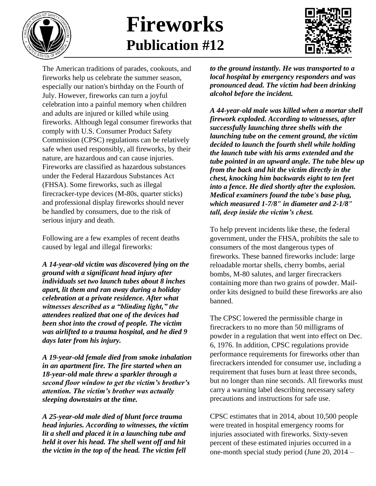

## **Fireworks Publication #12**



The American traditions of parades, cookouts, and fireworks help us celebrate the summer season, especially our nation's birthday on the Fourth of July. However, fireworks can turn a joyful celebration into a painful memory when children and adults are injured or killed while using fireworks. Although legal consumer fireworks that comply with U.S. Consumer Product Safety Commission (CPSC) regulations can be relatively safe when used responsibly, all fireworks, by their nature, are hazardous and can cause injuries. Fireworks are classified as hazardous substances under the Federal Hazardous Substances Act (FHSA). Some fireworks, such as illegal firecracker-type devices (M-80s, quarter sticks) and professional display fireworks should never be handled by consumers, due to the risk of serious injury and death.

Following are a few examples of recent deaths caused by legal and illegal fireworks:

*A 14-year-old victim was discovered lying on the ground with a significant head injury after individuals set two launch tubes about 8 inches apart, lit them and ran away during a holiday celebration at a private residence. After what witnesses described as a "blinding light," the attendees realized that one of the devices had been shot into the crowd of people. The victim was airlifted to a trauma hospital, and he died 9 days later from his injury.*

*A 19-year-old female died from smoke inhalation in an apartment fire. The fire started when an 18-year-old male threw a sparkler through a second floor window to get the victim's brother's attention. The victim's brother was actually sleeping downstairs at the time.* 

*A 25-year-old male died of blunt force trauma head injuries. According to witnesses, the victim lit a shell and placed it in a launching tube and held it over his head. The shell went off and hit the victim in the top of the head. The victim fell* 

*to the ground instantly. He was transported to a local hospital by emergency responders and was pronounced dead. The victim had been drinking alcohol before the incident.*

*A 44-year-old male was killed when a mortar shell firework exploded. According to witnesses, after successfully launching three shells with the launching tube on the cement ground, the victim decided to launch the fourth shell while holding the launch tube with his arms extended and the tube pointed in an upward angle. The tube blew up from the back and hit the victim directly in the chest, knocking him backwards eight to ten feet into a fence. He died shortly after the explosion. Medical examiners found the tube's base plug, which measured 1-7/8" in diameter and 2-1/8" tall, deep inside the victim's chest.*

To help prevent incidents like these, the federal government, under the FHSA, prohibits the sale to consumers of the most dangerous types of fireworks. These banned fireworks include: large reloadable mortar shells, cherry bombs, aerial bombs, M-80 salutes, and larger firecrackers containing more than two grains of powder. Mailorder kits designed to build these fireworks are also banned.

The CPSC lowered the permissible charge in firecrackers to no more than 50 milligrams of powder in a regulation that went into effect on Dec. 6, 1976. In addition, CPSC regulations provide performance requirements for fireworks other than firecrackers intended for consumer use, including a requirement that fuses burn at least three seconds, but no longer than nine seconds. All fireworks must carry a warning label describing necessary safety precautions and instructions for safe use.

CPSC estimates that in 2014, about 10,500 people were treated in hospital emergency rooms for injuries associated with fireworks. Sixty-seven percent of these estimated injuries occurred in a one-month special study period (June 20, 2014 –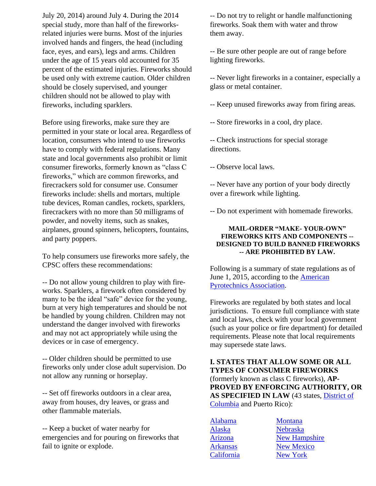July 20, 2014) around July 4. During the 2014 special study, more than half of the fireworksrelated injuries were burns. Most of the injuries involved hands and fingers, the head (including face, eyes, and ears), legs and arms. Children under the age of 15 years old accounted for 35 percent of the estimated injuries. Fireworks should be used only with extreme caution. Older children should be closely supervised, and younger children should not be allowed to play with fireworks, including sparklers.

Before using fireworks, make sure they are permitted in your state or local area. Regardless of location, consumers who intend to use fireworks have to comply with federal regulations. Many state and local governments also prohibit or limit consumer fireworks, formerly known as "class C fireworks," which are common fireworks, and firecrackers sold for consumer use. Consumer fireworks include: shells and mortars, multiple tube devices, Roman candles, rockets, sparklers, firecrackers with no more than 50 milligrams of powder, and novelty items, such as snakes, airplanes, ground spinners, helicopters, fountains, and party poppers.

To help consumers use fireworks more safely, the CPSC offers these recommendations:

-- Do not allow young children to play with fireworks. Sparklers, a firework often considered by many to be the ideal "safe" device for the young, burn at very high temperatures and should be not be handled by young children. Children may not understand the danger involved with fireworks and may not act appropriately while using the devices or in case of emergency.

-- Older children should be permitted to use fireworks only under close adult supervision. Do not allow any running or horseplay.

-- Set off fireworks outdoors in a clear area, away from houses, dry leaves, or grass and other flammable materials.

-- Keep a bucket of water nearby for emergencies and for pouring on fireworks that fail to ignite or explode.

-- Do not try to relight or handle malfunctioning fireworks. Soak them with water and throw them away.

-- Be sure other people are out of range before lighting fireworks.

-- Never light fireworks in a container, especially a glass or metal container.

-- Keep unused fireworks away from firing areas.

-- Store fireworks in a cool, dry place.

-- Check instructions for special storage directions.

-- Observe local laws.

-- Never have any portion of your body directly over a firework while lighting.

-- Do not experiment with homemade fireworks.

## **MAIL-ORDER "MAKE- YOUR-OWN" FIREWORKS KITS AND COMPONENTS -- DESIGNED TO BUILD BANNED FIREWORKS -- ARE PROHIBITED BY LAW.**

Following is a summary of state regulations as of June 1, 2015, according to the [American](http://www.americanpyro.com/state-law-directory)  [Pyrotechnics Association.](http://www.americanpyro.com/state-law-directory)

Fireworks are regulated by both states and local jurisdictions. To ensure full compliance with state and local laws, check with your local government (such as your police or fire department) for detailed requirements. Please note that local requirements may supersede state laws.

**I. STATES THAT ALLOW SOME OR ALL TYPES OF CONSUMER FIREWORKS**  (formerly known as class C fireworks), **AP-PROVED BY ENFORCING AUTHORITY, OR AS SPECIFIED IN LAW** (43 states, [District of](http://www.americanpyro.com/assets/docs/State_Laws/dc09.pdf)  [Columbia](http://www.americanpyro.com/assets/docs/State_Laws/dc09.pdf) and Puerto Rico):

[Alabama](http://www.americanpyro.com/assets/docs/State_Laws/al13.pdf) [Montana](http://www.americanpyro.com/assets/docs/State_Laws/mt13.pdf) [Alaska](http://www.americanpyro.com/assets/docs/State_Laws/ak13.pdf) [Nebraska](http://www.americanpyro.com/assets/docs/State_Laws/ne13.pdf) [California](http://www.americanpyro.com/assets/docs/State_Laws/ca13.pdf) [New York](http://www.americanpyro.com/assets/docs/State_Laws/ny15.pdf)

[Arizona](http://www.americanpyro.com/assets/docs/State_Laws/az14r.pdf) [New Hampshire](http://www.americanpyro.com/assets/docs/State_Laws/nhdraft.pdf) [Arkansas](http://www.americanpyro.com/assets/docs/State_Laws/ar13.pdf) [New Mexico](http://www.americanpyro.com/assets/docs/State_Laws/nm13.pdf)